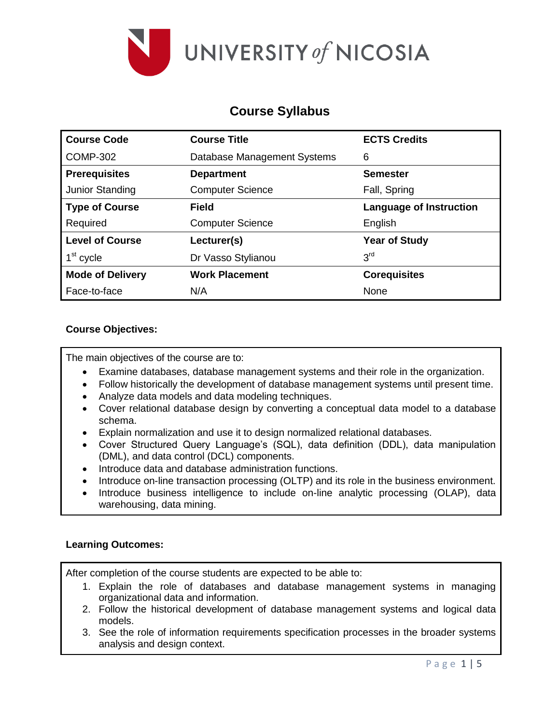

# **Course Syllabus**

| <b>Course Code</b>      | <b>Course Title</b>         | <b>ECTS Credits</b>            |
|-------------------------|-----------------------------|--------------------------------|
| <b>COMP-302</b>         | Database Management Systems | 6                              |
| <b>Prerequisites</b>    | <b>Department</b>           | <b>Semester</b>                |
| Junior Standing         | <b>Computer Science</b>     | Fall, Spring                   |
| <b>Type of Course</b>   | Field                       | <b>Language of Instruction</b> |
| Required                | <b>Computer Science</b>     | English                        |
| <b>Level of Course</b>  | Lecturer(s)                 | <b>Year of Study</b>           |
| 1 <sup>st</sup> cycle   | Dr Vasso Stylianou          | 3 <sup>rd</sup>                |
| <b>Mode of Delivery</b> | <b>Work Placement</b>       | <b>Corequisites</b>            |
| Face-to-face            | N/A                         | None                           |

## **Course Objectives:**

The main objectives of the course are to:

- Examine databases, database management systems and their role in the organization.
- Follow historically the development of database management systems until present time.
- Analyze data models and data modeling techniques.
- Cover relational database design by converting a conceptual data model to a database schema.
- Explain normalization and use it to design normalized relational databases.
- Cover Structured Query Language's (SQL), data definition (DDL), data manipulation (DML), and data control (DCL) components.
- Introduce data and database administration functions.
- Introduce on-line transaction processing (OLTP) and its role in the business environment.
- Introduce business intelligence to include on-line analytic processing (OLAP), data warehousing, data mining.

#### **Learning Outcomes:**

After completion of the course students are expected to be able to:

- 1. Explain the role of databases and database management systems in managing organizational data and information.
- 2. Follow the historical development of database management systems and logical data models.
- 3. See the role of information requirements specification processes in the broader systems analysis and design context.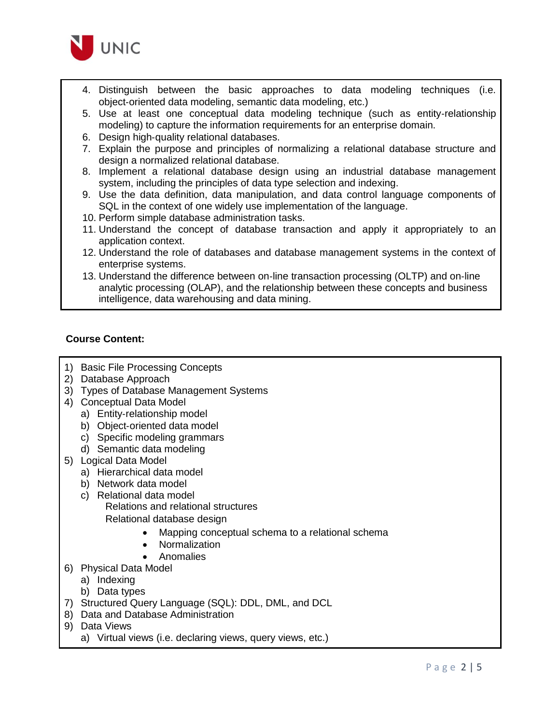

- 4. Distinguish between the basic approaches to data modeling techniques (i.e. object‐oriented data modeling, semantic data modeling, etc.)
- 5. Use at least one conceptual data modeling technique (such as entity‐relationship modeling) to capture the information requirements for an enterprise domain.
- 6. Design high‐quality relational databases.
- 7. Explain the purpose and principles of normalizing a relational database structure and design a normalized relational database.
- 8. Implement a relational database design using an industrial database management system, including the principles of data type selection and indexing.
- 9. Use the data definition, data manipulation, and data control language components of SQL in the context of one widely use implementation of the language.
- 10. Perform simple database administration tasks.
- 11. Understand the concept of database transaction and apply it appropriately to an application context.
- 12. Understand the role of databases and database management systems in the context of enterprise systems.
- 13. Understand the difference between on‐line transaction processing (OLTP) and on‐line analytic processing (OLAP), and the relationship between these concepts and business intelligence, data warehousing and data mining.

#### **Course Content:**

- 1) Basic File Processing Concepts
- 2) Database Approach
- 3) Types of Database Management Systems
- 4) Conceptual Data Model
	- a) Entity‐relationship model
	- b) Object‐oriented data model
	- c) Specific modeling grammars
	- d) Semantic data modeling
- 5) Logical Data Model
	- a) Hierarchical data model
	- b) Network data model
	- c) Relational data model Relations and relational structures Relational database design
		- Mapping conceptual schema to a relational schema
		- Normalization
		- Anomalies
- 6) Physical Data Model
	- a) Indexing
	- b) Data types
- 7) Structured Query Language (SQL): DDL, DML, and DCL
- 8) Data and Database Administration
- 9) Data Views
	- a) Virtual views (i.e. declaring views, query views, etc.)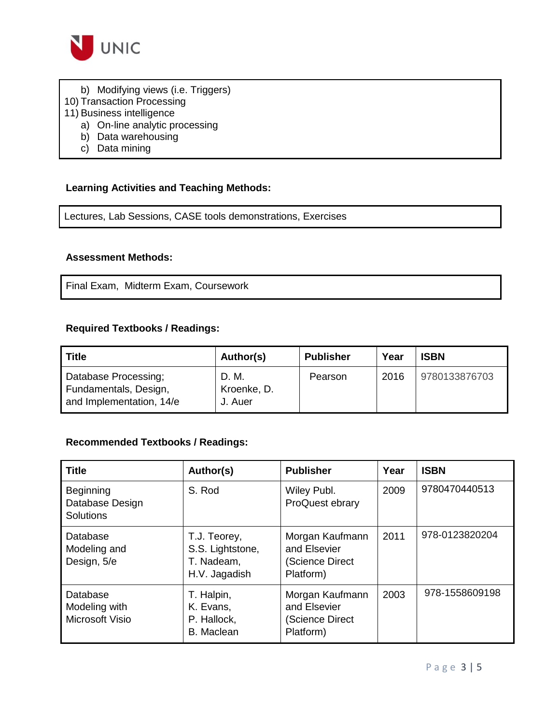

- b) Modifying views (i.e. Triggers)
- 10) Transaction Processing
- 11) Business intelligence
	- a) On‐line analytic processing
	- b) Data warehousing
	- c) Data mining

### **Learning Activities and Teaching Methods:**

Lectures, Lab Sessions, CASE tools demonstrations, Exercises

#### **Assessment Methods:**

Final Exam, Midterm Exam, Coursework

### **Required Textbooks / Readings:**

| <b>Title</b>                                                              | Author(s)                       | <b>Publisher</b> | Year | <b>ISBN</b>   |
|---------------------------------------------------------------------------|---------------------------------|------------------|------|---------------|
| Database Processing;<br>Fundamentals, Design,<br>and Implementation, 14/e | D. M.<br>Kroenke, D.<br>J. Auer | Pearson          | 2016 | 9780133876703 |

#### **Recommended Textbooks / Readings:**

| <b>Title</b>                                     | Author(s)                                                       | <b>Publisher</b>                                                | Year | <b>ISBN</b>    |
|--------------------------------------------------|-----------------------------------------------------------------|-----------------------------------------------------------------|------|----------------|
| Beginning<br>Database Design<br><b>Solutions</b> | S. Rod                                                          | Wiley Publ.<br>ProQuest ebrary                                  | 2009 | 9780470440513  |
| Database<br>Modeling and<br>Design, 5/e          | T.J. Teorey,<br>S.S. Lightstone,<br>T. Nadeam,<br>H.V. Jagadish | Morgan Kaufmann<br>and Elsevier<br>(Science Direct<br>Platform) | 2011 | 978-0123820204 |
| Database<br>Modeling with<br>Microsoft Visio     | T. Halpin,<br>K. Evans,<br>P. Hallock,<br><b>B.</b> Maclean     | Morgan Kaufmann<br>and Elsevier<br>(Science Direct<br>Platform) | 2003 | 978-1558609198 |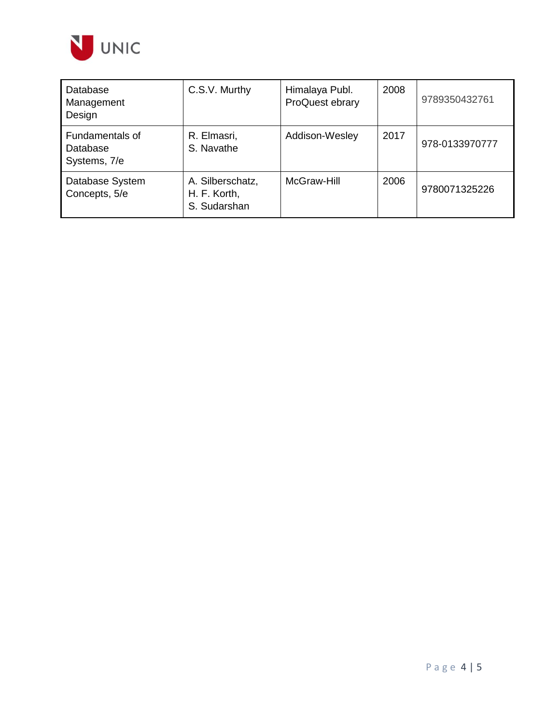

| Database<br>Management<br>Design                   | C.S.V. Murthy                                    | Himalaya Publ.<br>ProQuest ebrary | 2008 | 9789350432761  |
|----------------------------------------------------|--------------------------------------------------|-----------------------------------|------|----------------|
| <b>Fundamentals of</b><br>Database<br>Systems, 7/e | R. Elmasri,<br>S. Navathe                        | Addison-Wesley                    | 2017 | 978-0133970777 |
| Database System<br>Concepts, 5/e                   | A. Silberschatz,<br>H. F. Korth,<br>S. Sudarshan | McGraw-Hill                       | 2006 | 9780071325226  |